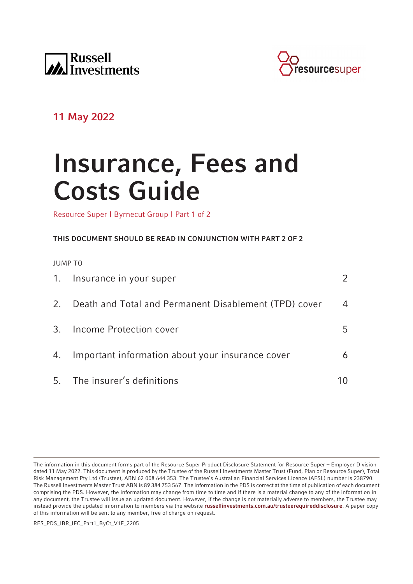



# **11 May 2022**

# **Insurance, Fees and Costs Guide**

Resource Super | Byrnecut Group | Part 1 of 2

# **THIS DOCUMENT SHOULD BE READ IN CONJUNCTION WITH PART 2 OF 2**

JUMP TO

|    | 1. Insurance in your super                            |    |
|----|-------------------------------------------------------|----|
| 2. | Death and Total and Permanent Disablement (TPD) cover | 4  |
|    | 3. Income Protection cover                            | 5. |
|    | 4. Important information about your insurance cover   | 6  |
|    | 5. The insurer's definitions                          |    |

RES\_PDS\_IBR\_IFC\_Part1\_ByCt\_V1F\_2205

The information in this document forms part of the Resource Super Product Disclosure Statement for Resource Super – Employer Division dated 11 May 2022. This document is produced by the Trustee of the Russell Investments Master Trust (Fund, Plan or Resource Super), Total Risk Management Pty Ltd (Trustee), ABN 62 008 644 353. The Trustee's Australian Financial Services Licence (AFSL) number is 238790. The Russell Investments Master Trust ABN is 89 384 753 567. The information in the PDS is correct at the time of publication of each document comprising the PDS. However, the information may change from time to time and if there is a material change to any of the information in any document, the Trustee will issue an updated document. However, if the change is not materially adverse to members, the Trustee may instead provide the updated information to members via the website **[russellinvestments.com.au/trusteerequireddisclosure](https://russellinvestments.com.au/trusteerequireddisclosure)**. A paper copy of this information will be sent to any member, free of charge on request.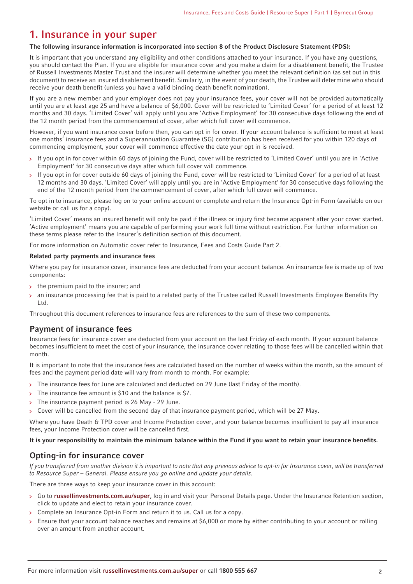# <span id="page-1-0"></span>**1. Insurance in your super**

#### **The following insurance information is incorporated into section 8 of the Product Disclosure Statement (PDS):**

It is important that you understand any eligibility and other conditions attached to your insurance. If you have any questions, you should contact the Plan. If you are eligible for insurance cover and you make a claim for a disablement benefit, the Trustee of Russell Investments Master Trust and the insurer will determine whether you meet the relevant definition (as set out in this document) to receive an insured disablement benefit. Similarly, in the event of your death, the Trustee will determine who should receive your death benefit (unless you have a valid binding death benefit nomination).

If you are a new member and your employer does not pay your insurance fees, your cover will not be provided automatically until you are at least age 25 and have a balance of \$6,000. Cover will be restricted to 'Limited Cover' for a period of at least 12 months and 30 days. 'Limited Cover' will apply until you are 'Active Employment' for 30 consecutive days following the end of the 12 month period from the commencement of cover, after which full cover will commence.

However, if you want insurance cover before then, you can opt in for cover. If your account balance is sufficient to meet at least one months' insurance fees and a Superannuation Guarantee (SG) contribution has been received for you within 120 days of commencing employment, your cover will commence effective the date your opt in is received.

- > If you opt in for cover within 60 days of joining the Fund, cover will be restricted to 'Limited Cover' until you are in 'Active Employment' for 30 consecutive days after which full cover will commence.
- If you opt in for cover outside 60 days of joining the Fund, cover will be restricted to 'Limited Cover' for a period of at least  $\overline{\mathbf{y}}$ 12 months and 30 days. 'Limited Cover' will apply until you are in 'Active Employment' for 30 consecutive days following the end of the 12 month period from the commencement of cover, after which full cover will commence.

To opt in to insurance, please log on to your online account or complete and return the Insurance Opt-in Form (available on our website or call us for a copy).

'Limited Cover' means an insured benefit will only be paid if the illness or injury first became apparent after your cover started. 'Active employment' means you are capable of performing your work full time without restriction. For further information on these terms please refer to the Insurer's definition section of this document.

For more information on Automatic cover refer to Insurance, Fees and Costs Guide Part 2.

#### **Related party payments and insurance fees**

Where you pay for insurance cover, insurance fees are deducted from your account balance. An insurance fee is made up of two components:

- the premium paid to the insurer; and
- an insurance processing fee that is paid to a related party of the Trustee called Russell Investments Employee Benefits Pty Ltd.

Throughout this document references to insurance fees are references to the sum of these two components.

#### **Payment of insurance fees**

Insurance fees for insurance cover are deducted from your account on the last Friday of each month. If your account balance becomes insufficient to meet the cost of your insurance, the insurance cover relating to those fees will be cancelled within that month.

It is important to note that the insurance fees are calculated based on the number of weeks within the month, so the amount of fees and the payment period date will vary from month to month. For example:

- > The insurance fees for June are calculated and deducted on 29 June (last Friday of the month).
- The insurance fee amount is \$10 and the balance is \$7.
- The insurance payment period is 26 May 29 June.  $\mathbf{S}$
- Cover will be cancelled from the second day of that insurance payment period, which will be 27 May.  $\mathbf{S}$

Where you have Death & TPD cover and Income Protection cover, and your balance becomes insufficient to pay all insurance fees, your Income Protection cover will be cancelled first.

**It is your responsibility to maintain the minimum balance within the Fund if you want to retain your insurance benefits.**

# **Opting-in for insurance cover**

If you transferred from another division it is important to note that any previous advice to opt-in for Insurance cover, will be transferred to Resource Super – General. Please ensure you go online and update your details.

There are three ways to keep your insurance cover in this account:

- Go to **[russellinvestments.com.au/super](https://russellinvestments.com.au/super)**, log in and visit your Personal Details page. Under the Insurance Retention section, click to update and elect to retain your insurance cover.
- Complete an Insurance Opt-in Form and return it to us. Call us for a copy.
- Ensure that your account balance reaches and remains at \$6,000 or more by either contributing to your account or rolling over an amount from another account.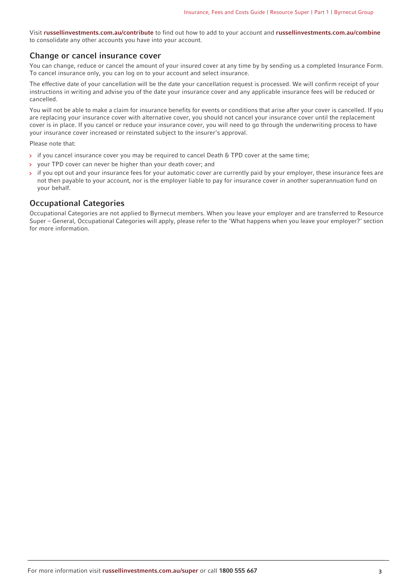Visit **[russellinvestments.com.au/contribute](https://russellinvestments.com.au/contribute)** to find out how to add to your account and **[russellinvestments.com.au/combine](https://russellinvestments.com.au/combine)** to consolidate any other accounts you have into your account.

## **Change or cancel insurance cover**

You can change, reduce or cancel the amount of your insured cover at any time by by sending us a completed Insurance Form. To cancel insurance only, you can log on to your account and select insurance.

The effective date of your cancellation will be the date your cancellation request is processed. We will confirm receipt of your instructions in writing and advise you of the date your insurance cover and any applicable insurance fees will be reduced or cancelled.

You will not be able to make a claim for insurance benefits for events or conditions that arise after your cover is cancelled. If you are replacing your insurance cover with alternative cover, you should not cancel your insurance cover until the replacement cover is in place. If you cancel or reduce your insurance cover, you will need to go through the underwriting process to have your insurance cover increased or reinstated subject to the insurer's approval.

Please note that:

- if you cancel insurance cover you may be required to cancel Death & TPD cover at the same time;
- your TPD cover can never be higher than your death cover; and
- if you opt out and your insurance fees for your automatic cover are currently paid by your employer, these insurance fees are not then payable to your account, nor is the employer liable to pay for insurance cover in another superannuation fund on your behalf.

## **Occupational Categories**

Occupational Categories are not applied to Byrnecut members. When you leave your employer and are transferred to Resource Super – General, Occupational Categories will apply, please refer to the 'What happens when you leave your employer?' section for more information.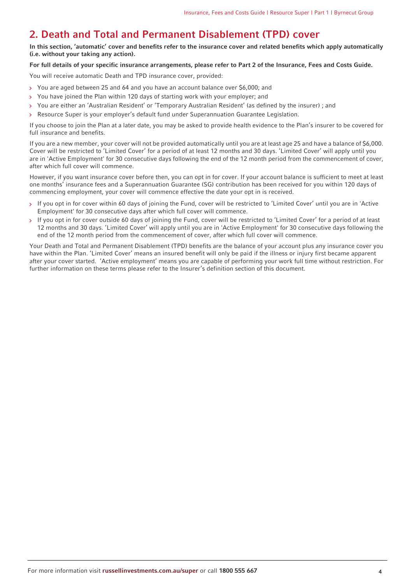# <span id="page-3-0"></span>**2. Death and Total and Permanent Disablement (TPD) cover**

**In this section, 'automatic' cover and benefits refer to the insurance cover and related benefits which apply automatically (i.e. without your taking any action).**

#### **For full details of your specific insurance arrangements, please refer to Part 2 of the Insurance, Fees and Costs Guide.**

You will receive automatic Death and TPD insurance cover, provided:

- You are aged between 25 and 64 and you have an account balance over \$6,000; and
- You have joined the Plan within 120 days of starting work with your employer; and  $\overline{\mathbf{y}}$
- You are either an 'Australian Resident' or 'Temporary Australian Resident' (as defined by the insurer) ; and  $\overline{\phantom{a}}$
- Resource Super is your employer's default fund under Superannuation Guarantee Legislation.

If you choose to join the Plan at a later date, you may be asked to provide health evidence to the Plan's insurer to be covered for full insurance and benefits.

If you are a new member, your cover will not be provided automatically until you are at least age 25 and have a balance of \$6,000. Cover will be restricted to 'Limited Cover' for a period of at least 12 months and 30 days. 'Limited Cover' will apply until you are in 'Active Employment' for 30 consecutive days following the end of the 12 month period from the commencement of cover, after which full cover will commence.

However, if you want insurance cover before then, you can opt in for cover. If your account balance is sufficient to meet at least one months' insurance fees and a Superannuation Guarantee (SG) contribution has been received for you within 120 days of commencing employment, your cover will commence effective the date your opt in is received.

- If you opt in for cover within 60 days of joining the Fund, cover will be restricted to 'Limited Cover' until you are in 'Active  $\mathbf{S}$ Employment' for 30 consecutive days after which full cover will commence.
- > If you opt in for cover outside 60 days of joining the Fund, cover will be restricted to 'Limited Cover' for a period of at least 12 months and 30 days. 'Limited Cover' will apply until you are in 'Active Employment' for 30 consecutive days following the end of the 12 month period from the commencement of cover, after which full cover will commence.

Your Death and Total and Permanent Disablement (TPD) benefits are the balance of your account plus any insurance cover you have within the Plan. 'Limited Cover' means an insured benefit will only be paid if the illness or injury first became apparent after your cover started. 'Active employment' means you are capable of performing your work full time without restriction. For further information on these terms please refer to the Insurer's definition section of this document.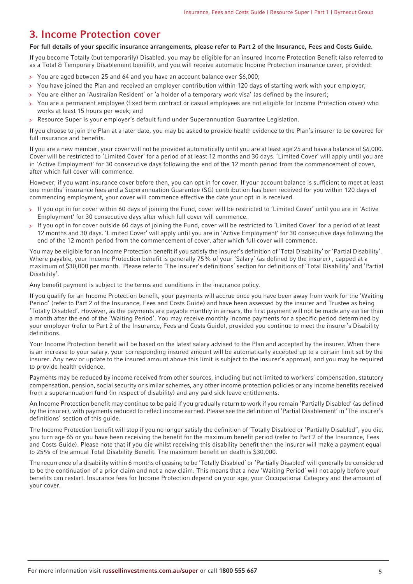# <span id="page-4-0"></span>**3. Income Protection cover**

#### **For full details of your specific insurance arrangements, please refer to Part 2 of the Insurance, Fees and Costs Guide.**

If you become Totally (but temporarily) Disabled, you may be eligible for an insured Income Protection Benefit (also referred to as a Total & Temporary Disablement benefit), and you will receive automatic Income Protection insurance cover, provided:

- You are aged between 25 and 64 and you have an account balance over \$6,000;  $\rightarrow$
- You have joined the Plan and received an employer contribution within 120 days of starting work with your employer;
- You are either an 'Australian Resident' or 'a holder of a temporary work visa' (as defined by the insurer);
- You are a permanent employee (fixed term contract or casual employees are not eligible for Income Protection cover) who works at least 15 hours per week; and
- Resource Super is your employer's default fund under Superannuation Guarantee Legislation.

If you choose to join the Plan at a later date, you may be asked to provide health evidence to the Plan's insurer to be covered for full insurance and benefits.

If you are a new member, your cover will not be provided automatically until you are at least age 25 and have a balance of \$6,000. Cover will be restricted to 'Limited Cover' for a period of at least 12 months and 30 days. 'Limited Cover' will apply until you are in 'Active Employment' for 30 consecutive days following the end of the 12 month period from the commencement of cover, after which full cover will commence.

However, if you want insurance cover before then, you can opt in for cover. If your account balance is sufficient to meet at least one months' insurance fees and a Superannuation Guarantee (SG) contribution has been received for you within 120 days of commencing employment, your cover will commence effective the date your opt in is received.

- If you opt in for cover within 60 days of joining the Fund, cover will be restricted to 'Limited Cover' until you are in 'Active  $\overline{\phantom{1}}$ Employment' for 30 consecutive days after which full cover will commence.
- If you opt in for cover outside 60 days of joining the Fund, cover will be restricted to 'Limited Cover' for a period of at least  $\overline{\mathbf{y}}$ 12 months and 30 days. 'Limited Cover' will apply until you are in 'Active Employment' for 30 consecutive days following the end of the 12 month period from the commencement of cover, after which full cover will commence.

You may be eligible for an Income Protection benefit if you satisfy the insurer's definition of 'Total Disability' or 'Partial Disability'. Where payable, your Income Protection benefit is generally 75% of your 'Salary' (as defined by the insurer) , capped at a maximum of \$30,000 per month. Please refer to 'The insurer's definitions' section for definitions of 'Total Disability' and 'Partial Disability'.

Any benefit payment is subject to the terms and conditions in the insurance policy.

If you qualify for an Income Protection benefit, your payments will accrue once you have been away from work for the 'Waiting Period' (refer to Part 2 of the Insurance, Fees and Costs Guide) and have been assessed by the insurer and Trustee as being 'Totally Disabled'. However, as the payments are payable monthly in arrears, the first payment will not be made any earlier than a month after the end of the 'Waiting Period'. You may receive monthly income payments for a specific period determined by your employer (refer to Part 2 of the Insurance, Fees and Costs Guide), provided you continue to meet the insurer's Disability definitions.

Your Income Protection benefit will be based on the latest salary advised to the Plan and accepted by the insurer. When there is an increase to your salary, your corresponding insured amount will be automatically accepted up to a certain limit set by the insurer. Any new or update to the insured amount above this limit is subject to the insurer's approval, and you may be required to provide health evidence.

Payments may be reduced by income received from other sources, including but not limited to workers' compensation, statutory compensation, pension, social security or similar schemes, any other income protection policies or any income benefits received from a superannuation fund (in respect of disability) and any paid sick leave entitlements.

An Income Protection benefit may continue to be paid if you gradually return to work if you remain 'Partially Disabled' (as defined by the insurer), with payments reduced to reflect income earned. Please see the definition of 'Partial Disablement' in 'The insurer's definitions' section of this guide.

The Income Protection benefit will stop if you no longer satisfy the definition of 'Totally Disabled or 'Partially Disabled", you die, you turn age 65 or you have been receiving the benefit for the maximum benefit period (refer to Part 2 of the Insurance, Fees and Costs Guide). Please note that if you die whilst receiving this disability benefit then the insurer will make a payment equal to 25% of the annual Total Disability Benefit. The maximum benefit on death is \$30,000.

The recurrence of a disability within 6 months of ceasing to be 'Totally Disabled' or 'Partially Disabled' will generally be considered to be the continuation of a prior claim and not a new claim. This means that a new 'Waiting Period' will not apply before your benefits can restart. Insurance fees for Income Protection depend on your age, your Occupational Category and the amount of your cover.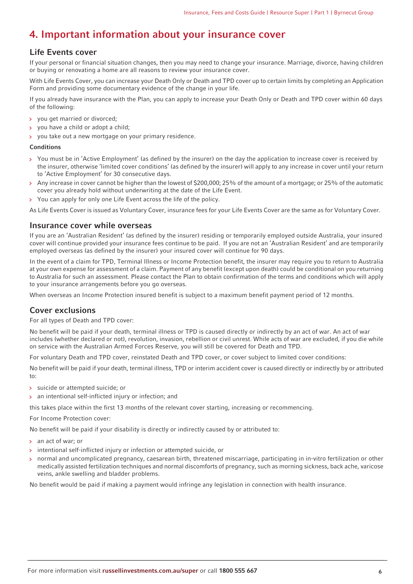# <span id="page-5-0"></span>**4. Important information about your insurance cover**

# **Life Events cover**

If your personal or financial situation changes, then you may need to change your insurance. Marriage, divorce, having children or buying or renovating a home are all reasons to review your insurance cover.

With Life Events Cover, you can increase your Death Only or Death and TPD cover up to certain limits by completing an Application Form and providing some documentary evidence of the change in your life.

If you already have insurance with the Plan, you can apply to increase your Death Only or Death and TPD cover within 60 days of the following:

- you get married or divorced;
- you have a child or adopt a child;  $\mathbf{S}$
- you take out a new mortgage on your primary residence.  $\mathbf{A}$

#### **Conditions**

- You must be in 'Active Employment' (as defined by the insurer) on the day the application to increase cover is received by  $\mathbf{S}$ the insurer, otherwise 'limited cover conditions' (as defined by the insurer) will apply to any increase in cover until your return to 'Active Employment' for 30 consecutive days.
- Any increase in cover cannot be higher than the lowest of \$200,000; 25% of the amount of a mortgage; or 25% of the automatic cover you already hold without underwriting at the date of the Life Event.
- You can apply for only one Life Event across the life of the policy.

As Life Events Cover is issued as Voluntary Cover, insurance fees for your Life Events Cover are the same as for Voluntary Cover.

## **Insurance cover while overseas**

If you are an 'Australian Resident' (as defined by the insurer) residing or temporarily employed outside Australia, your insured cover will continue provided your insurance fees continue to be paid. If you are not an 'Australian Resident' and are temporarily employed overseas (as defined by the insurer) your insured cover will continue for 90 days.

In the event of a claim for TPD, Terminal Illness or Income Protection benefit, the insurer may require you to return to Australia at your own expense for assessment of a claim. Payment of any benefit (except upon death) could be conditional on you returning to Australia for such an assessment. Please contact the Plan to obtain confirmation of the terms and conditions which will apply to your insurance arrangements before you go overseas.

When overseas an Income Protection insured benefit is subject to a maximum benefit payment period of 12 months.

# **Cover exclusions**

For all types of Death and TPD cover:

No benefit will be paid if your death, terminal illness or TPD is caused directly or indirectly by an act of war. An act of war includes (whether declared or not), revolution, invasion, rebellion or civil unrest. While acts of war are excluded, if you die while on service with the Australian Armed Forces Reserve, you will still be covered for Death and TPD.

For voluntary Death and TPD cover, reinstated Death and TPD cover, or cover subject to limited cover conditions:

No benefit will be paid if your death, terminal illness, TPD or interim accident cover is caused directly or indirectly by or attributed to:

- suicide or attempted suicide; or
- an intentional self-inflicted injury or infection; and  $\mathbf{A}$

this takes place within the first 13 months of the relevant cover starting, increasing or recommencing.

For Income Protection cover:

No benefit will be paid if your disability is directly or indirectly caused by or attributed to:

- > an act of war; or
- intentional self-inflicted injury or infection or attempted suicide, or
- normal and uncomplicated pregnancy, caesarean birth, threatened miscarriage, participating in in-vitro fertilization or other medically assisted fertilization techniques and normal discomforts of pregnancy, such as morning sickness, back ache, varicose veins, ankle swelling and bladder problems.

No benefit would be paid if making a payment would infringe any legislation in connection with health insurance.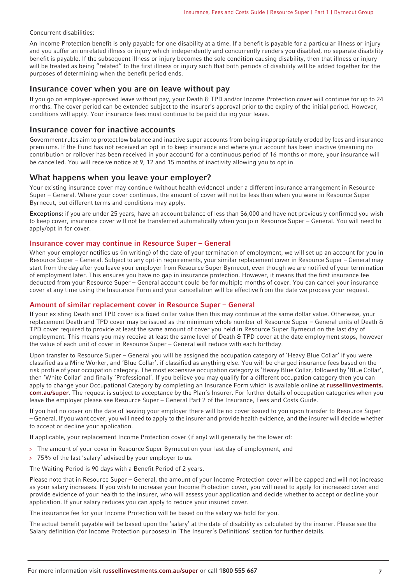#### Concurrent disabilities:

An Income Protection benefit is only payable for one disability at a time. If a benefit is payable for a particular illness or injury and you suffer an unrelated illness or injury which independently and concurrently renders you disabled, no separate disability benefit is payable. If the subsequent illness or injury becomes the sole condition causing disability, then that illness or injury will be treated as being "related" to the first illness or injury such that both periods of disability will be added together for the purposes of determining when the benefit period ends.

#### **Insurance cover when you are on leave without pay**

If you go on employer-approved leave without pay, your Death & TPD and/or Income Protection cover will continue for up to 24 months. The cover period can be extended subject to the insurer's approval prior to the expiry of the initial period. However, conditions will apply. Your insurance fees must continue to be paid during your leave.

## **Insurance cover for inactive accounts**

Government rules aim to protect low balance and inactive super accounts from being inappropriately eroded by fees and insurance premiums. If the Fund has not received an opt in to keep insurance and where your account has been inactive (meaning no contribution or rollover has been received in your account) for a continuous period of 16 months or more, your insurance will be cancelled. You will receive notice at 9, 12 and 15 months of inactivity allowing you to opt in.

## **What happens when you leave your employer?**

Your existing insurance cover may continue (without health evidence) under a different insurance arrangement in Resource Super – General. Where your cover continues, the amount of cover will not be less than when you were in Resource Super Byrnecut, but different terms and conditions may apply.

**Exceptions:** if you are under 25 years, have an account balance of less than \$6,000 and have not previously confirmed you wish to keep cover, insurance cover will not be transferred automatically when you join Resource Super – General. You will need to apply/opt in for cover.

#### **Insurance cover may continue in Resource Super – General**

When your employer notifies us (in writing) of the date of your termination of employment, we will set up an account for you in Resource Super – General. Subject to any opt-in requirements, your similar replacement cover in Resource Super – General may start from the day after you leave your employer from Resource Super Byrnecut, even though we are notified of your termination of employment later. This ensures you have no gap in insurance protection. However, it means that the first insurance fee deducted from your Resource Super – General account could be for multiple months of cover. You can cancel your insurance cover at any time using the Insurance Form and your cancellation will be effective from the date we process your request.

#### **Amount of similar replacement cover in Resource Super – General**

If your existing Death and TPD cover is a fixed dollar value then this may continue at the same dollar value. Otherwise, your replacement Death and TPD cover may be issued as the minimum whole number of Resource Super – General units of Death & TPD cover required to provide at least the same amount of cover you held in Resource Super Byrnecut on the last day of employment. This means you may receive at least the same level of Death & TPD cover at the date employment stops, however the value of each unit of cover in Resource Super – General will reduce with each birthday.

Upon transfer to Resource Super – General you will be assigned the occupation category of 'Heavy Blue Collar' if you were classified as a Mine Worker, and 'Blue Collar', if classified as anything else. You will be charged insurance fees based on the risk profile of your occupation category. The most expensive occupation category is 'Heavy Blue Collar, followed by 'Blue Collar', then 'White Collar' and finally 'Professional'. If you believe you may qualify for a different occupation category then you can apply to change your Occupational Category by completing an Insurance Form which is available online at **[russellinvestments.](https://russellinvestments.com.au/super) [com.au/super](https://russellinvestments.com.au/super)**. The request is subject to acceptance by the Plan's Insurer. For further details of occupation categories when you leave the employer please see Resource Super – General Part 2 of the Insurance, Fees and Costs Guide.

If you had no cover on the date of leaving your employer there will be no cover issued to you upon transfer to Resource Super – General. If you want cover, you will need to apply to the insurer and provide health evidence, and the insurer will decide whether to accept or decline your application.

If applicable, your replacement Income Protection cover (if any) will generally be the lower of:

- > The amount of your cover in Resource Super Byrnecut on your last day of employment, and
- > 75% of the last 'salary' advised by your employer to us.

The Waiting Period is 90 days with a Benefit Period of 2 years.

Please note that in Resource Super – General, the amount of your Income Protection cover will be capped and will not increase as your salary increases. If you wish to increase your Income Protection cover, you will need to apply for increased cover and provide evidence of your health to the insurer, who will assess your application and decide whether to accept or decline your application. If your salary reduces you can apply to reduce your insured cover.

The insurance fee for your Income Protection will be based on the salary we hold for you.

The actual benefit payable will be based upon the 'salary' at the date of disability as calculated by the insurer. Please see the Salary definition (for Income Protection purposes) in 'The Insurer's Definitions' section for further details.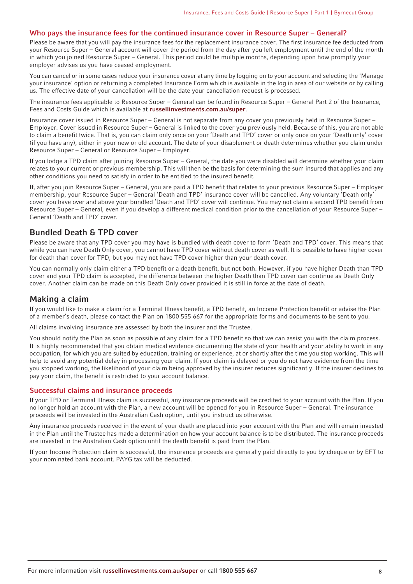#### **Who pays the insurance fees for the continued insurance cover in Resource Super – General?**

Please be aware that you will pay the insurance fees for the replacement insurance cover. The first insurance fee deducted from your Resource Super – General account will cover the period from the day after you left employment until the end of the month in which you joined Resource Super – General. This period could be multiple months, depending upon how promptly your employer advises us you have ceased employment.

You can cancel or in some cases reduce your insurance cover at any time by logging on to your account and selecting the 'Manage your insurance' option or returning a completed Insurance Form which is available in the log in area of our website or by calling us. The effective date of your cancellation will be the date your cancellation request is processed.

The insurance fees applicable to Resource Super – General can be found in Resource Super – General Part 2 of the Insurance, Fees and Costs Guide which is available at **[russellinvestments.com.au/super](https://russellinvestments.com.au/super)**.

Insurance cover issued in Resource Super – General is not separate from any cover you previously held in Resource Super – Employer. Cover issued in Resource Super – General is linked to the cover you previously held. Because of this, you are not able to claim a benefit twice. That is, you can claim only once on your 'Death and TPD' cover or only once on your 'Death only' cover (if you have any), either in your new or old account. The date of your disablement or death determines whether you claim under Resource Super – General or Resource Super – Employer.

If you lodge a TPD claim after joining Resource Super – General, the date you were disabled will determine whether your claim relates to your current or previous membership. This will then be the basis for determining the sum insured that applies and any other conditions you need to satisfy in order to be entitled to the insured benefit.

If, after you join Resource Super – General, you are paid a TPD benefit that relates to your previous Resource Super – Employer membership, your Resource Super – General 'Death and TPD' insurance cover will be cancelled. Any voluntary 'Death only' cover you have over and above your bundled 'Death and TPD' cover will continue. You may not claim a second TPD benefit from Resource Super – General, even if you develop a different medical condition prior to the cancellation of your Resource Super – General 'Death and TPD' cover.

# **Bundled Death & TPD cover**

Please be aware that any TPD cover you may have is bundled with death cover to form 'Death and TPD' cover. This means that while you can have Death Only cover, you cannot have TPD cover without death cover as well. It is possible to have higher cover for death than cover for TPD, but you may not have TPD cover higher than your death cover.

You can normally only claim either a TPD benefit or a death benefit, but not both. However, if you have higher Death than TPD cover and your TPD claim is accepted, the difference between the higher Death than TPD cover can continue as Death Only cover. Another claim can be made on this Death Only cover provided it is still in force at the date of death.

## **Making a claim**

If you would like to make a claim for a Terminal Illness benefit, a TPD benefit, an Income Protection benefit or advise the Plan of a member's death, please contact the Plan on 1800 555 667 for the appropriate forms and documents to be sent to you.

All claims involving insurance are assessed by both the insurer and the Trustee.

You should notify the Plan as soon as possible of any claim for a TPD benefit so that we can assist you with the claim process. It is highly recommended that you obtain medical evidence documenting the state of your health and your ability to work in any occupation, for which you are suited by education, training or experience, at or shortly after the time you stop working. This will help to avoid any potential delay in processing your claim. If your claim is delayed or you do not have evidence from the time you stopped working, the likelihood of your claim being approved by the insurer reduces significantly. If the insurer declines to pay your claim, the benefit is restricted to your account balance.

#### **Successful claims and insurance proceeds**

If your TPD or Terminal Illness claim is successful, any insurance proceeds will be credited to your account with the Plan. If you no longer hold an account with the Plan, a new account will be opened for you in Resource Super – General. The insurance proceeds will be invested in the Australian Cash option, until you instruct us otherwise.

Any insurance proceeds received in the event of your death are placed into your account with the Plan and will remain invested in the Plan until the Trustee has made a determination on how your account balance is to be distributed. The insurance proceeds are invested in the Australian Cash option until the death benefit is paid from the Plan.

If your Income Protection claim is successful, the insurance proceeds are generally paid directly to you by cheque or by EFT to your nominated bank account. PAYG tax will be deducted.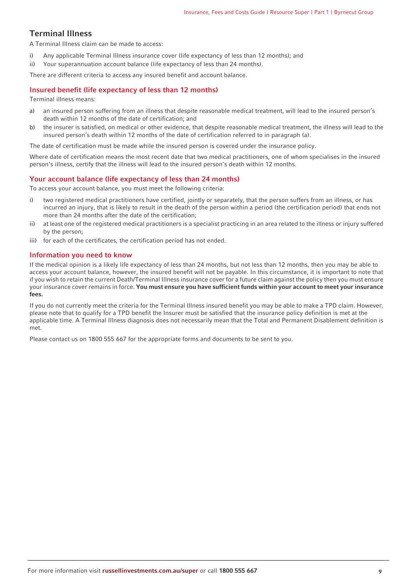# **Terminal Illness**

A Terminal Illness claim can be made to access:

- i) Any applicable Terminal Illness insurance cover (life expectancy of less than 12 months); and
- ii) Your superannuation account balance (life expectancy of less than 24 months).

There are different criteria to access any insured benefit and account balance.

#### **Insured benefit (life expectancy of less than 12 months)**

Terminal illness means:

- a) an insured person suffering from an illness that despite reasonable medical treatment, will lead to the insured person's death within 12 months of the date of certification; and
- b) the insurer is satisfied, on medical or other evidence, that despite reasonable medical treatment, the illness will lead to the insured person's death within 12 months of the date of certification referred to in paragraph (a).

The date of certification must be made while the insured person is covered under the insurance policy.

Where date of certification means the most recent date that two medical practitioners, one of whom specialises in the insured person's illness, certify that the illness will lead to the insured person's death within 12 months.

## **Your account balance (life expectancy of less than 24 months)**

To access your account balance, you must meet the following criteria:

- i) two registered medical practitioners have certified, jointly or separately, that the person suffers from an illness, or has incurred an injury, that is likely to result in the death of the person within a period (the certification period) that ends not more than 24 months after the date of the certification;
- ii) at least one of the registered medical practitioners is a specialist practicing in an area related to the illness or injury suffered by the person;
- iii) for each of the certificates, the certification period has not ended.

#### **Information you need to know**

If the medical opinion is a likely life expectancy of less than 24 months, but not less than 12 months, then you may be able to access your account balance, however, the insured benefit will not be payable. In this circumstance, it is important to note that if you wish to retain the current Death/Terminal Illness insurance cover for a future claim against the policy then you must ensure your insurance cover remains in force. **You must ensure you have sufficient funds within your account to meet your insurance fees.**

If you do not currently meet the criteria for the Terminal Illness insured benefit you may be able to make a TPD claim. However, please note that to qualify for a TPD benefit the Insurer must be satisfied that the insurance policy definition is met at the applicable time. A Terminal Illness diagnosis does not necessarily mean that the Total and Permanent Disablement definition is met.

Please contact us on 1800 555 667 for the appropriate forms and documents to be sent to you.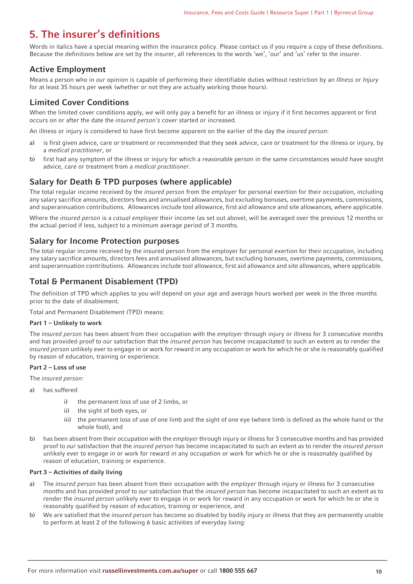# <span id="page-9-0"></span>**5. The insurer's definitions**

Words in italics have a special meaning within the insurance policy. Please contact us if you require a copy of these definitions. Because the definitions below are set by the insurer, all references to the words 'we', 'our' and 'us' refer to the insurer.

# **Active Employment**

Means a person who in our opinion is capable of performing their identifiable duties without restriction by an Illness or Injury for at least 35 hours per week (whether or not they are actually working those hours).

# **Limited Cover Conditions**

When the limited cover conditions apply, we will only pay a benefit for an illness or injury if it first becomes apparent or first occurs on or after the date the insured person's cover started or increased.

An illness or injury is considered to have first become apparent on the earlier of the day the insured person:

- a) is first given advice, care or treatment or recommended that they seek advice, care or treatment for the illness or injury, by a medical practitioner, or
- b) first had any symptom of the illness or injury for which a reasonable person in the same circumstances would have sought advice, care or treatment from a medical practitioner.

# **Salary for Death & TPD purposes (where applicable)**

The total regular income received by the insured person from the employer for personal exertion for their occupation, including any salary sacrifice amounts, directors fees and annualised allowances, but excluding bonuses, overtime payments, commissions, and superannuation contributions. Allowances include tool allowance, first aid allowance and site allowances, where applicable.

Where the *insured person* is a *casual employee* their income (as set out above), will be averaged over the previous 12 months or the actual period if less, subject to a minimum average period of 3 months.

# **Salary for Income Protection purposes**

The total regular income received by the insured person from the employer for personal exertion for their occupation, including any salary sacrifice amounts, directors fees and annualised allowances, but excluding bonuses, overtime payments, commissions, and superannuation contributions. Allowances include tool allowance, first aid allowance and site allowances, where applicable.

# **Total & Permanent Disablement (TPD)**

The definition of TPD which applies to you will depend on your age and average hours worked per week in the three months prior to the date of disablement.

Total and Permanent Disablement (TPD) means:

#### **Part 1 – Unlikely to work**

The insured person has been absent from their occupation with the employer through injury or illness for 3 consecutive months and has provided proof to our satisfaction that the insured person has become incapacitated to such an extent as to render the insured person unlikely ever to engage in or work for reward in any occupation or work for which he or she is reasonably qualified by reason of education, training or experience.

#### **Part 2 – Loss of use**

The insured person:

- a) has suffered
	- i) the permanent loss of use of 2 limbs, or
	- ii) the sight of both eyes, or
	- iii) the permanent loss of use of one limb and the sight of one eye (where limb is defined as the whole hand or the whole foot), and
- b) has been absent from their occupation with the *employer* through injury or illness for 3 consecutive months and has provided proof to our satisfaction that the insured person has become incapacitated to such an extent as to render the insured person unlikely ever to engage in or work for reward in any occupation or work for which he or she is reasonably qualified by reason of education, training or experience.

#### **Part 3 – Activities of daily living**

- a) The insured person has been absent from their occupation with the employer through injury or illness for 3 consecutive months and has provided proof to *our* satisfaction that the *insured person* has become incapacitated to such an extent as to render the insured person unlikely ever to engage in or work for reward in any occupation or work for which he or she is reasonably qualified by reason of education, training or experience, and
- b) We are satisfied that the *insured person* has become so disabled by bodily injury or illness that they are permanently unable to perform at least 2 of the following 6 basic activities of everyday living: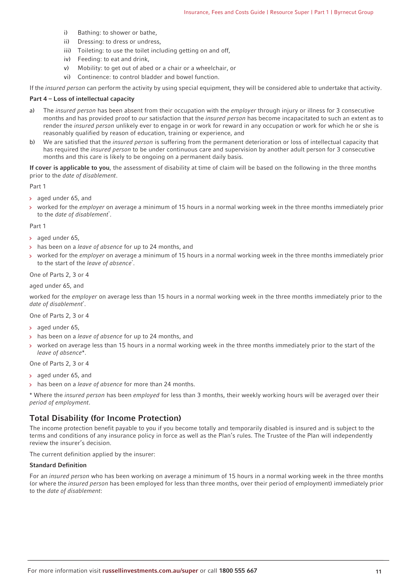- i) Bathing: to shower or bathe,
- ii) Dressing: to dress or undress,
- iii) Toileting: to use the toilet including getting on and off,
- iv) Feeding: to eat and drink,
- v) Mobility: to get out of abed or a chair or a wheelchair, or
- vi) Continence: to control bladder and bowel function.

If the insured person can perform the activity by using special equipment, they will be considered able to undertake that activity.

#### **Part 4 – Loss of intellectual capacity**

- a) The insured person has been absent from their occupation with the employer through injury or illness for 3 consecutive months and has provided proof to our satisfaction that the insured person has become incapacitated to such an extent as to render the insured person unlikely ever to engage in or work for reward in any occupation or work for which he or she is reasonably qualified by reason of education, training or experience, and
- b) We are satisfied that the *insured person* is suffering from the permanent deterioration or loss of intellectual capacity that has required the *insured person* to be under continuous care and supervision by another adult person for 3 consecutive months and this care is likely to be ongoing on a permanent daily basis.

**If cover is applicable to you**, the assessment of disability at time of claim will be based on the following in the three months prior to the date of disablement.

Part 1

- aged under 65, and
- worked for the *employer* on average a minimum of 15 hours in a normal working week in the three months immediately prior  $\rightarrow$ to the date of disablement<sup>\*</sup>.

Part 1

- $>$  aged under 65.
- > has been on a leave of absence for up to 24 months, and
- worked for the employer on average a minimum of 15 hours in a normal working week in the three months immediately prior to the start of the leave of absence<sup>\*</sup>.

#### One of Parts 2, 3 or 4

#### aged under 65, and

worked for the employer on average less than 15 hours in a normal working week in the three months immediately prior to the date of disablement<sup>\*</sup>.

One of Parts 2, 3 or 4

- > aged under 65,
- > has been on a leave of absence for up to 24 months, and
- worked on average less than 15 hours in a normal working week in the three months immediately prior to the start of the leave of absence\*.

One of Parts 2, 3 or 4

- aged under 65, and
- has been on a leave of absence for more than 24 months.

\* Where the insured person has been employed for less than 3 months, their weekly working hours will be averaged over their period of employment.

## **Total Disability (for Income Protection)**

The income protection benefit payable to you if you become totally and temporarily disabled is insured and is subject to the terms and conditions of any insurance policy in force as well as the Plan's rules. The Trustee of the Plan will independently review the insurer's decision.

The current definition applied by the insurer:

#### **Standard Definition**

For an insured person who has been working on average a minimum of 15 hours in a normal working week in the three months (or where the insured person has been employed for less than three months, over their period of employment) immediately prior to the date of disablement: